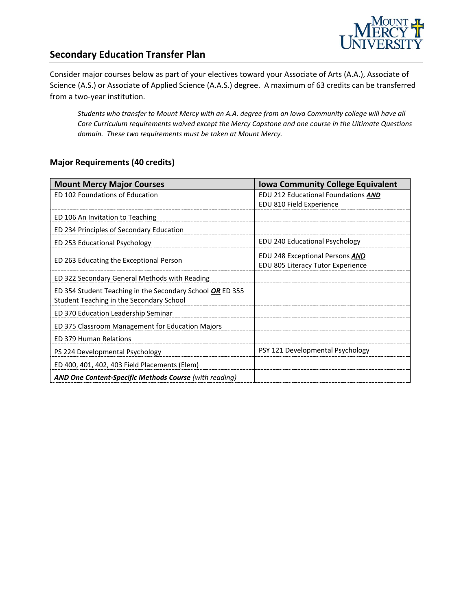

# **Secondary Education Transfer Plan**

Consider major courses below as part of your electives toward your Associate of Arts (A.A.), Associate of Science (A.S.) or Associate of Applied Science (A.A.S.) degree. A maximum of 63 credits can be transferred from a two-year institution.

*Students who transfer to Mount Mercy with an A.A. degree from an Iowa Community college will have all Core Curriculum requirements waived except the Mercy Capstone and one course in the Ultimate Questions domain. These two requirements must be taken at Mount Mercy.* 

### **Major Requirements (40 credits)**

| <b>Mount Mercy Major Courses</b>                              | <b>Iowa Community College Equivalent</b> |
|---------------------------------------------------------------|------------------------------------------|
| ED 102 Foundations of Education                               | EDU 212 Educational Foundations AND      |
|                                                               | EDU 810 Field Experience                 |
| ED 106 An Invitation to Teaching                              |                                          |
| ED 234 Principles of Secondary Education                      |                                          |
| ED 253 Educational Psychology                                 | EDU 240 Educational Psychology           |
|                                                               | EDU 248 Exceptional Persons <b>AND</b>   |
| ED 263 Educating the Exceptional Person                       | EDU 805 Literacy Tutor Experience        |
| ED 322 Secondary General Methods with Reading                 |                                          |
| ED 354 Student Teaching in the Secondary School OR ED 355     |                                          |
| Student Teaching in the Secondary School                      |                                          |
| ED 370 Education Leadership Seminar                           |                                          |
| ED 375 Classroom Management for Education Majors              |                                          |
| <b>ED 379 Human Relations</b>                                 |                                          |
| PS 224 Developmental Psychology                               | PSY 121 Developmental Psychology         |
| ED 400, 401, 402, 403 Field Placements (Elem)                 |                                          |
| <b>AND One Content-Specific Methods Course (with reading)</b> |                                          |